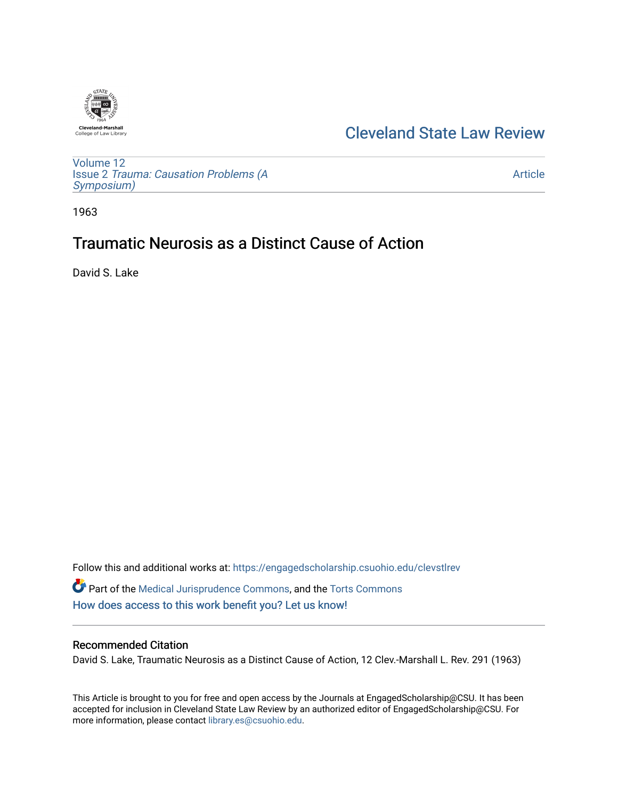

## [Cleveland State Law Review](https://engagedscholarship.csuohio.edu/clevstlrev)

[Volume 12](https://engagedscholarship.csuohio.edu/clevstlrev/vol12) Issue 2 [Trauma: Causation Problems \(A](https://engagedscholarship.csuohio.edu/clevstlrev/vol12/iss2) [Symposium\)](https://engagedscholarship.csuohio.edu/clevstlrev/vol12/iss2) 

[Article](https://engagedscholarship.csuohio.edu/clevstlrev/vol12/iss2/10) 

1963

# Traumatic Neurosis as a Distinct Cause of Action

David S. Lake

Follow this and additional works at: [https://engagedscholarship.csuohio.edu/clevstlrev](https://engagedscholarship.csuohio.edu/clevstlrev?utm_source=engagedscholarship.csuohio.edu%2Fclevstlrev%2Fvol12%2Fiss2%2F10&utm_medium=PDF&utm_campaign=PDFCoverPages) Part of the [Medical Jurisprudence Commons,](http://network.bepress.com/hgg/discipline/860?utm_source=engagedscholarship.csuohio.edu%2Fclevstlrev%2Fvol12%2Fiss2%2F10&utm_medium=PDF&utm_campaign=PDFCoverPages) and the [Torts Commons](http://network.bepress.com/hgg/discipline/913?utm_source=engagedscholarship.csuohio.edu%2Fclevstlrev%2Fvol12%2Fiss2%2F10&utm_medium=PDF&utm_campaign=PDFCoverPages)  [How does access to this work benefit you? Let us know!](http://library.csuohio.edu/engaged/)

### Recommended Citation

David S. Lake, Traumatic Neurosis as a Distinct Cause of Action, 12 Clev.-Marshall L. Rev. 291 (1963)

This Article is brought to you for free and open access by the Journals at EngagedScholarship@CSU. It has been accepted for inclusion in Cleveland State Law Review by an authorized editor of EngagedScholarship@CSU. For more information, please contact [library.es@csuohio.edu](mailto:library.es@csuohio.edu).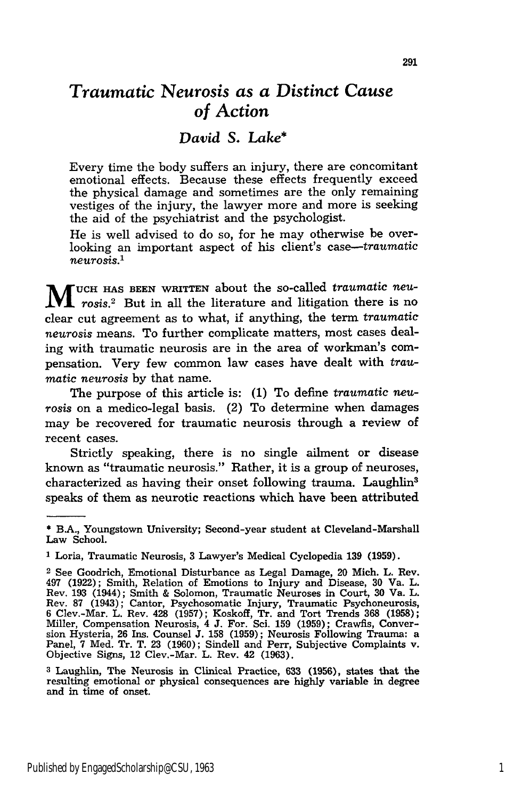## *Traumatic Neurosis as a Distinct Cause of Action*

### *David S. Lake\**

Every time the body suffers an injury, there are concomitant emotional effects. Because these effects frequently exceed the physical damage and sometimes are the only remaining vestiges of the injury, the lawyer more and more is seeking the aid of the psychiatrist and the psychologist.

He is well advised to do so, for he may otherwise be overlooking an important aspect of his client's *case--traumatic neurosis.'*

W UCH HAS BEEN WRITTEN about the so-called *traumatic neu-***MUCH HAS BEEN WRITTEN GOODS WESTERN CONSUMING THE START OF START AND SET OF THE START OF START AND SET OF A LIBRARY START AND SET OF A LIBRARY START AND SET OF A LIBRARY START AND SET OF A LIBRARY START AND START AND STAR** clear cut agreement as to what, if anything, the term *traumatic neurosis* means. To further complicate matters, most cases dealing with traumatic neurosis are in the area of workman's compensation. Very few common law cases have dealt with *traumatic neurosis* by that name.

The purpose of this article is: (1) To define *traumatic neurosis* on a medico-legal basis. (2) To determine when damages may be recovered for traumatic neurosis through a review of recent cases.

Strictly speaking, there is no single ailment or disease known as "traumatic neurosis." Rather, it is a group of neuroses, characterized as having their onset following trauma. Laughlin3 speaks of them as neurotic reactions which have been attributed

**<sup>\*</sup>** B.A., Youngstown University; Second-year student at Cleveland-Marshall Law School.

**<sup>1</sup>** Loria, Traumatic Neurosis, 3 Lawyer's Medical Cyclopedia 139 (1959).

<sup>2</sup>See Goodrich, Emotional Disturbance as Legal Damage, 20 Mich. L. Rev. 497 (1922); Smith, Relation of Emotions to Injury and Disease, 30 Va. L. Rev. 193 (1944); Smith & Solomon, Traumatic Neuroses in Court, **30** Va. L. Rev. **87** (1943); Cantor, Psychosomatic Injury, Traumatic Psychoneurosis, 6 Clev.-Mar. L. Rev. 428 (1957); Koskoff, Tr. and Tort Trends **368** (1958); Miller, Compensation Neurosis, 4 **J.** For. Sci. **159** (1959); Crawfis, Conversion Hysteria, **26** Ins. Counsel **J.** 158 (1959); Neurosis Following Trauma: a Panel, 7 Med. Tr. T. 23 (1960); Sindell and Perr, Subjective Complaints v. Objective Signs, 12 Clev.-Mar. L. Rev. 42 (1963).

**<sup>3</sup>**Laughlin, The Neurosis in Clinical Practice, **633 (1956),** states that the resulting emotional or physical consequences are highly variable in degree and in time of onset.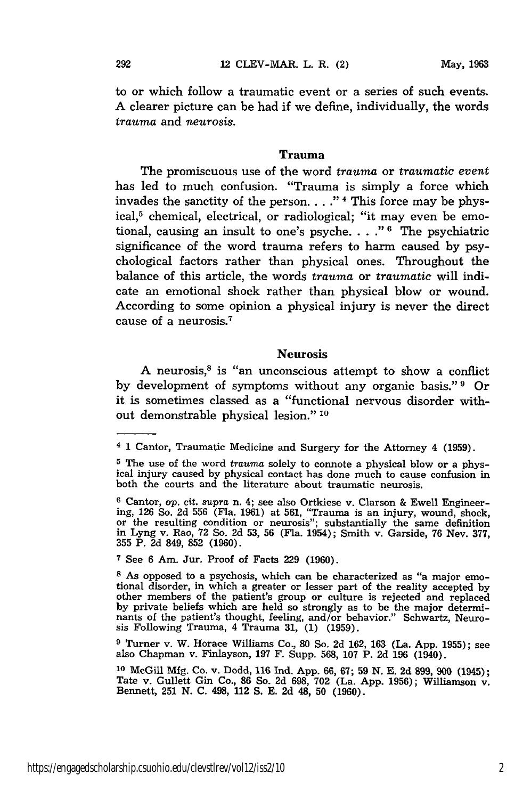to or which follow a traumatic event or a series of such events. A clearer picture can be had if we define, individually, the words *trauma* and *neurosis.*

#### Trauma

The promiscuous use of the word *trauma* or *traumatic event* has led to much confusion. "Trauma is simply a force which invades the sanctity of the person. . . .<sup>"4</sup> This force may be physical,<sup>5</sup> chemical, electrical, or radiological; "it may even be emotional, causing an insult to one's psyche.  $\ldots$  <sup>"6</sup> The psychiatric significance of the word trauma refers to harm caused by psychological factors rather than physical ones. Throughout the balance of this article, the words *trauma* or *traumatic* will indicate an emotional shock rather than physical blow or wound. According to some opinion a physical injury is never the direct cause of a neurosis. <sup>7</sup>

#### Neurosis

A neurosis, $8$  is "an unconscious attempt to show a conflict by development of symptoms without any organic basis."<sup>9</sup> Or it is sometimes classed as a "functional nervous disorder without demonstrable physical lesion." **10**

**9** Turner v. W. Horace Williams Co., 80 So. 2d 162, 163 (La. App. 1955); see also Chapman v. Finlayson, 197 F. Supp. 568, 107 P. 2d 196 (1940).

**<sup>4 1</sup>** Cantor, Traumatic Medicine and Surgery for the Attorney 4 (1959).

**<sup>5</sup>** The use of the word *trauma* solely to connote a physical blow or a physical injury caused by physical contact has done much to cause confusion in both the courts and the literature about traumatic neurosis.

**<sup>6</sup>** Cantor, op. cit. *supra* n. 4; see also Ortkiese v. Clarson & Ewell Engineering, 126 So. 2d 556 (Fla. 1961) at 561, "Trauma is an injury, wound, shock, or the resulting condition or neurosis"; substantially the same definition in Lyng v. Rao, **72** So. 2d 53, 56 (Fla. 1954); Smith v. Garside, 76 Nev. 377, 355 P. **2d** 849, **852** (1960).

**<sup>7</sup>**See 6 Am. Jur. Proof of Facts 229 (1960).

**<sup>8</sup>** As opposed to a psychosis, which can be characterized as "a major emotional disorder, in which a greater or lesser part of the reality accepted by other members of the patient's group or culture is rejected and replaced by private beliefs which are held so strongly as to be the major determinants of the patient's thought, feeling, and/or behavior." Schwartz, Neurosis Following Trauma, 4 Trauma 31, (1) (1959).

**<sup>10</sup>**McGill Mfg. Co. v. Dodd, 116 Ind. App. 66, 67; 59 **N.** E. 2d 899, **900** (1945); Tate v. Gullett Gin Co., 86 So. 2d 698, **702** (La. App. 1956); Williamson v. Bennett, **251** N. C. 498, 112 **S.** E. **2d** 48, **50** (1960).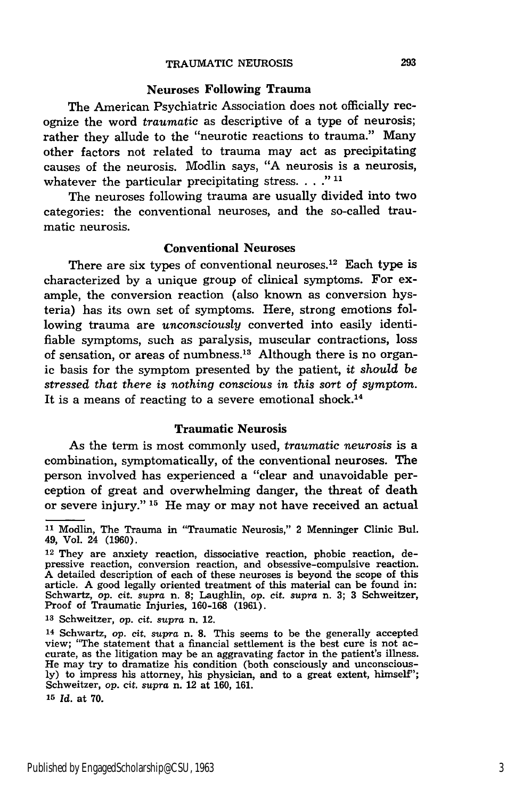#### Neuroses Following Trauma

The American Psychiatric Association does not officially recognize the word *traumatic* as descriptive of a type of neurosis; rather they allude to the "neurotic reactions to trauma." Many other factors not related to trauma may act as precipitating causes of the neurosis. Modlin says, "A neurosis is a neurosis, whatever the particular precipitating stress. **.. ." 11**

The neuroses following trauma are usually divided into two categories: the conventional neuroses, and the so-called traumatic neurosis.

#### Conventional Neuroses

There are six types of conventional neuroses.<sup>12</sup> Each type is characterized by a unique group of clinical symptoms. For example, the conversion reaction (also known as conversion hysteria) has its own set of symptoms. Here, strong emotions following trauma are *unconsciously* converted into easily identifiable symptoms, such as paralysis, muscular contractions, loss of sensation, or areas of numbness.<sup>13</sup> Although there is no organic basis for the symptom presented by the patient, *it should be stressed that there is nothing conscious in this sort of symptom.* It is a means of reacting to a severe emotional shock.<sup>14</sup>

#### Traumatic Neurosis

As the term is most commonly used, *traumatic neurosis* is a combination, symptomatically, of the conventional neuroses. The person involved has experienced a "clear and unavoidable perception of great and overwhelming danger, the threat of death or severe injury." **15** He may or may not have received an actual

**<sup>11</sup>**Modlin, The Trauma in "Traumatic Neurosis," 2 Menninger Clinic Bul. 49, Vol. 24 (1960).

<sup>12</sup> They are anxiety reaction, dissociative reaction, phobic reaction, depressive reaction, conversion reaction, and obsessive-compulsive reaction. A detailed description of each of these neuroses is beyond the scope of this article. A good legally oriented treatment of this material can be found in: Schwartz, op. cit. *supra* n. **8;** Laughlin, *op.* cit. *supra* n. **3; 3** Schweitzer, Proof of Traumatic Injuries, 160-168 (1961)

**<sup>13</sup>**Schweitzer, op. cit. *supra* n. 12.

<sup>14</sup> Schwartz, op. cit. supra n. **8.** This seems to be the generally accepted view; "The statement that a financial settlement is the best cure is not ac- curate, as the litigation may be an aggravating factor in the patient's illness. He may try to dramatize his condition (both consciously and unconsciously) to impress his attorney, his physician, and to a great extent, himself"; Schweitzer, op. cit. *supra* n. 12 at 160, 161.

**<sup>15</sup>***Id.* at 70.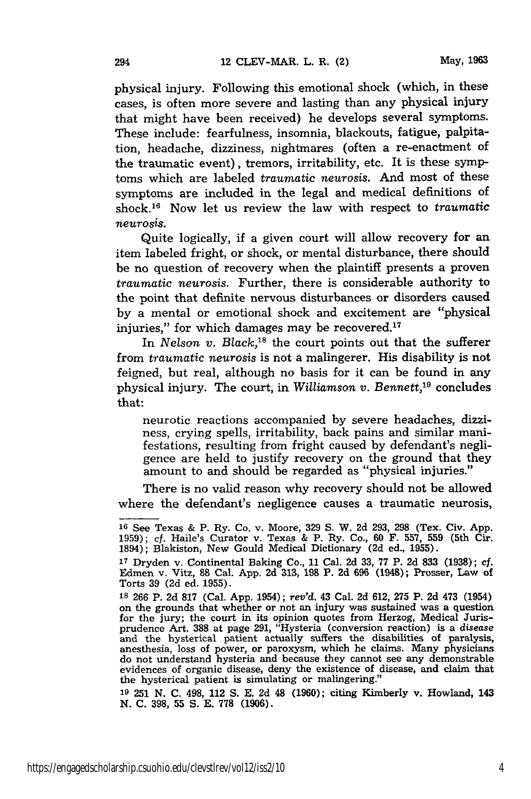physical injury. Following this emotional shock (which, in these cases, is often more severe and lasting than any physical injury that might have been received) he develops several symptoms. These include: fearfulness, insomnia, blackouts, fatigue, palpitation, headache, dizziness, nightmares (often a re-enactment of the traumatic event), tremors, irritability, etc. It is these symptoms which are labeled *traumatic neurosis.* And most of these symptoms are included in the legal and medical definitions of shock.16 Now let us review the law with respect to *traumatic neurosis.*

Quite logically, if a given court will allow recovery for an item labeled fright, or shock, or mental disturbance, there should be no question of recovery when the plaintiff presents a proven *traumatic neurosis.* Further, there is considerable authority to the point that definite nervous disturbances or disorders caused by a mental or emotional shock and excitement are "physical injuries," for which damages may be recovered. $17$ 

In *Nelson v. Black*,<sup>18</sup> the court points out that the sufferer from *traumatic neurosis* is not a malingerer. His disability is not feigned, but real, although no basis for it can be found in any physical injury. The court, in *Williamson v. Bennett,19* concludes that:

neurotic reactions accompanied by severe headaches, dizziness, crying spells, irritability, back pains and similar manifestations, resulting from fright caused by defendant's negligence are held to justify recovery on the ground that they amount to and should be regarded as "physical injuries."

There is no valid reason why recovery should not be allowed where the defendant's negligence causes a traumatic neurosis,

**<sup>19</sup>**251 N. C. 498, 112 **S.** E. 2d 48 (1960); citing Kimberly v. Howland, 143 **N. C. 398, 55 S. E. 778 (1906).**

**<sup>16</sup>**See Texas & P. Ry. Co. v. Moore, **329 S.** W. 2d 293, 298 (Tex. Civ. App. 1959); cf. Haile's Curator v. Texas & P. Ry. Co., 60 F. 557, 559 (5th Cir. 1894); Blakiston, New Gould Medical Dictionary (2d ed., 1955).

**<sup>17</sup>**Dryden v. Continental Baking Co., 11 Cal. 2d 33, 77 P. 2d **833** (1938); cf. Edmen v. Vitz, 88 Cal. App. **2d 313, 198** P. **2d** 696 (1948); Prosser, Law of Torts 39 (2d ed. 1955).

**Is** 266 P. 2d 817 (Cal. App. 1954); *rev'd.* 43 Cal. 2d 612, 275 P. 2d 473 (1954) on the grounds that whether or not an injury was sustained was a question for the jury; the court in its opinion quotes from Herzog, Medical Jurisprudence Art. 388 at page 291, "Hysteria (conversion reaction) is a *disease* and the hysterical patient actually suffers the disabilities of paralysis anesthesia, loss of power, or paroxysm, which he claims. Many physicians do not understand hysteria and because they cannot see any demonstrable evidences of organic disease, deny the existence of disease, and claim that the hysterical patient is simulating or malingering."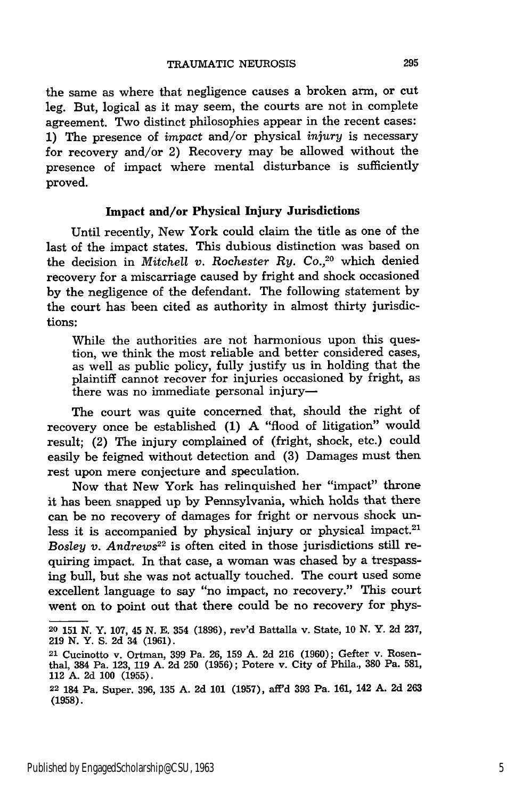the same as where that negligence causes a broken arm, or cut leg. But, logical as it may seem, the courts are not in complete agreement. Two distinct philosophies appear in the recent cases: 1) The presence of *impact* and/or physical *injury* is necessary for recovery and/or 2) Recovery may be allowed without the presence of impact where mental disturbance is sufficiently proved.

#### Impact **and/or Physical Injury Jurisdictions**

Until recently, New York could claim the title as one of the last of the impact states. This dubious distinction was based on the decision in *Mitchell v. Rochester Ry. Co.,20* which denied recovery for a miscarriage caused by fright and shock occasioned by the negligence of the defendant. The following statement by the court has been cited as authority in almost thirty jurisdictions:

While the authorities are not harmonious upon this question, we think the most reliable and better considered cases, as well as public policy, fully justify us in holding that the plaintiff cannot recover for injuries occasioned by fright, as there was no immediate personal injury-

The court was quite concerned that, should the right of recovery once be established (1) A "flood of litigation" would result; (2) The injury complained of (fright, shock, etc.) could easily be feigned without detection and (3) Damages must then rest upon mere conjecture and speculation.

Now that New York has relinquished her "impact" throne it has been snapped up by Pennsylvania, which holds that there can be no recovery of damages for fright or nervous shock unless it is accompanied by physical injury or physical impact.<sup>21</sup> *Bosley v. Andrews*<sup>22</sup> is often cited in those jurisdictions still requiring impact. In that case, a woman was chased by a trespassing bull, but she was not actually touched. The court used some excellent language to say "no impact, no recovery." This court went on to point out that there could be no recovery for phys-

**<sup>20 151</sup> N.** Y. **107,** 45 **N. E.** 354 **(1896),** rev'd Battalla v. State, **10 N.** Y. **2d 237, 219** N. Y. S. 2d 34 (1961).

**<sup>21</sup>** Cucinotto v. Ortman, **399** Pa. 26, **159 A.** 2d 216 (1960); Gefter v. Rosenthal, 384 Pa. 123, **119 A.** 2d 250 **(1956);** Potere v. City of Phila., **380** Pa. 581, 112 A. 2d **100** (1955).

**<sup>22</sup>**184 Pa. Super. 396, **135** A. 2d **101** (1957), aff'd 393 Pa. 161, 142 A. **2d** 263 **(1958).**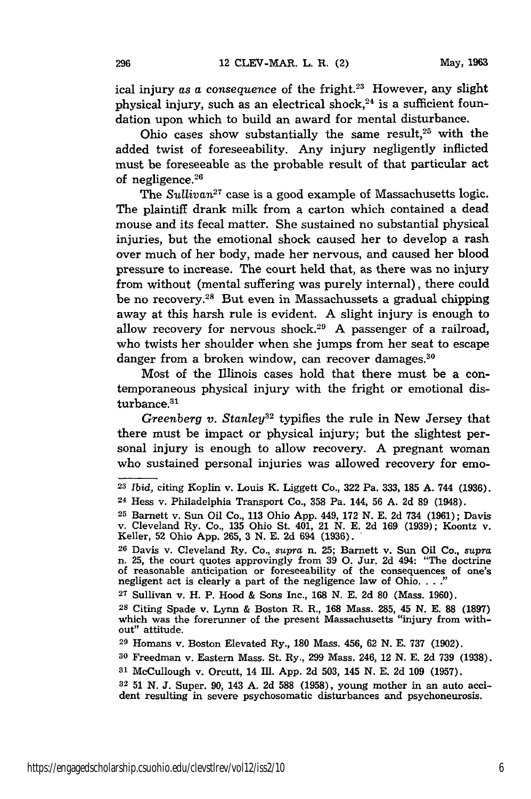ical injury *as a consequence* of the fright.<sup>23</sup> However, any slight physical injury, such as an electrical shock, $24$  is a sufficient foundation upon which to build an award for mental disturbance.

Ohio cases show substantially the same result,<sup>25</sup> with the added twist of foreseeability. Any injury negligently inflicted must be foreseeable as the probable result of that particular act of negligence. $26$ 

The *Sullivan27* case is a good example of Massachusetts logic. The plaintiff drank milk from a carton which contained a dead mouse and its fecal matter. She sustained no substantial physical injuries, but the emotional shock caused her to develop a rash over much of her body, made her nervous, and caused her blood pressure to increase. The court held that, as there was no injury from without (mental suffering was purely internal), there could be no recovery.<sup>28</sup> But even in Massachussets a gradual chipping away at this harsh rule is evident. A slight injury is enough to allow recovery for nervous shock.<sup>29</sup> A passenger of a railroad, who twists her shoulder when she jumps from her seat to escape danger from a broken window, can recover damages.<sup>30</sup>

Most of the Illinois cases hold that there must be a contemporaneous physical injury with the fright or emotional disturbance.<sup>31</sup>

*Greenberg v. Stanley32* typifies the rule in New Jersey that there must be impact or physical injury; but the slightest personal injury is enough to allow recovery. A pregnant woman who sustained personal injuries was allowed recovery for emo-

**<sup>23</sup>***Ibid,* citing Koplin v. Louis K. Liggett Co., 322 Pa. 333, 185 A. 744 (1936).

<sup>24</sup> Hess v. Philadelphia Transport Co., 358 Pa. 144, 56 A. 2d 89 (1948).

**<sup>25</sup>**Barnett v. Sun Oil Co., 113 Ohio App. 449, 172 N. E. 2d 734 (1961); Davis v. Cleveland Ry. Co., 135 Ohio St. 401, 21 N. E. 2d 169 (1939); Koontz v. Keller, 52 Ohio App. 265, 3 N. E. 2d 694 (1936).

**<sup>26</sup>**Davis v. Cleveland Ry. Co., supra n. 25; Barnett v. Sun Oil Co., *supra* n. 25, the court quotes approvingly from 39 **0.** Jur. 2d 494: "The doctrine of reasonable anticipation or foreseeability of the consequences of one's negligent act is clearly a part of the negligence law of Ohio. . . .<sup>2</sup>

**<sup>27</sup>**Sullivan v. H. P. Hood & Sons Inc., 168 N. E. 2d 80 (Mass. 1960).

**<sup>28</sup>**Citing Spade v. Lynn & Boston R. R., 168 Mass. 285, 45 N. E. 88 (1897) which was the forerunner of the present Massachusetts "injury from without" attitude.

**<sup>29</sup>**Homans v. Boston Elevated Ry., 180 Mass. 456, 62 N. E. 737 (1902).

**<sup>30</sup>**Freedman v. Eastern Mass. St. Ry., 299 Mass. 246, 12 N. E. 2d 739 (1938).

**<sup>31</sup>**McCullough v. Orcutt, 14 Ill. App. 2d 503, 145 N. E. 2d 109 (1957).

**<sup>32</sup>** 51 N. J. Super. 90, 143 A. 2d 588 (1958), young mother in an auto accident resulting in severe psychosomatic disturbances and psychoneurosis.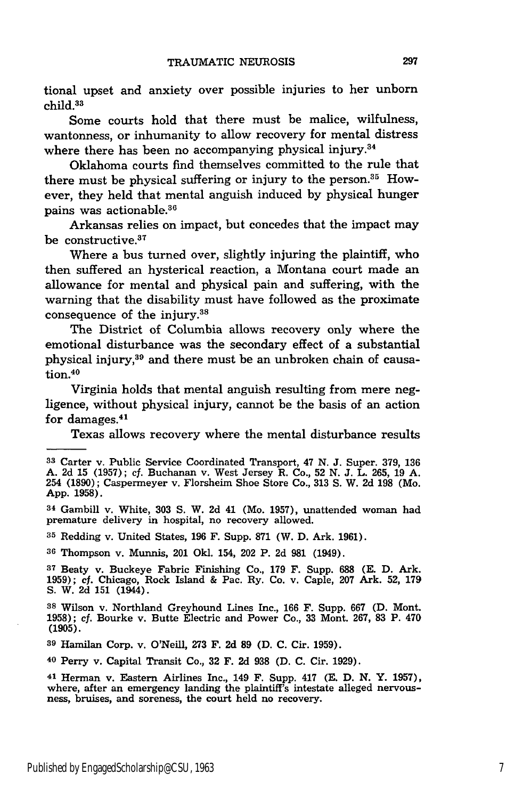tional upset and anxiety over possible injuries to her unborn child.33

Some courts hold that there must be malice, wilfulness, wantonness, or inhumanity to allow recovery for mental distress where there has been no accompanying physical injury.<sup>34</sup>

Oklahoma courts find themselves committed to the rule that there must be physical suffering or injury to the person.<sup>35</sup> However, they held that mental anguish induced **by** physical hunger pains was actionable.<sup>36</sup>

Arkansas relies on impact, but concedes that the impact may be constructive.<sup>37</sup>

Where a bus turned over, slightly injuring the plaintiff, who then suffered an hysterical reaction, a Montana court made an allowance for mental and physical pain and suffering, with the warning that the disability must have followed as the proximate consequence of the injury.38

The District of Columbia allows recovery only where the emotional disturbance was the secondary effect of a substantial physical injury,39 and there must be an unbroken chain of causation.<sup>40</sup>

Virginia holds that mental anguish resulting from mere negligence, without physical injury, cannot be the basis of an action for damages.<sup>41</sup>

Texas allows recovery where the mental disturbance results

**<sup>35</sup>**Redding v. United States, 196 F. Supp. 871 (W. D. Ark. 1961).

**<sup>36</sup>**Thompson v. Munnis, 201 Okl. 154, 202 P. 2d 981 (1949).

**<sup>37</sup>**Beaty v. Buckeye Fabric Finishing Co., 179 F. Supp. 688 **(E.** D. Ark. 1959); cf. Chicago, Rock Island & Pac. Ry. Co. v. Caple, 207 Ark. 52, 179 S. W. 2d 151 (1944).

40 Perry v. Capital Transit Co., 32 F. 2d 938 (D. C. Cir. 1929).

**<sup>33</sup>**Carter v. Public Service Coordinated Transport, 47 N. **J.** Super. 379, **136** A. 2d **15** (1957); cf. Buchanan v. West Jersey R. Co., 52 N. **J.** L. 265, **19** A. 254 **(1890);** Caspermeyer v. Florsheim Shoe Store Co., 313 **S.** W. **2d 198** (Mo. App. 1958).

<sup>34</sup> Gambill v. White, 303 **S.** W. 2d 41 (Mo. 1957), unattended woman had premature delivery in hospital, no recovery allowed.

**<sup>38</sup>**Wilson v. Northland Greyhound Lines Inc., 166 F. Supp. 667 (D. Mont. 1958); cf. Bourke v. Butte Electric and Power Co., 33 Mont. 267, 83 P. 470 (1905).

**<sup>39</sup>**Hamilan Corp. v. O'Neill, **273** F. 2d 89 (D. C. Cir. 1959).

<sup>41</sup> Herman v. Eastern Airlines Inc., 149 F. Supp. 417 **(E. D.** N. Y. 1957), where, after an emergency landing the plaintiff's intestate alleged nervous- ness, bruises, and soreness, the court held no recovery.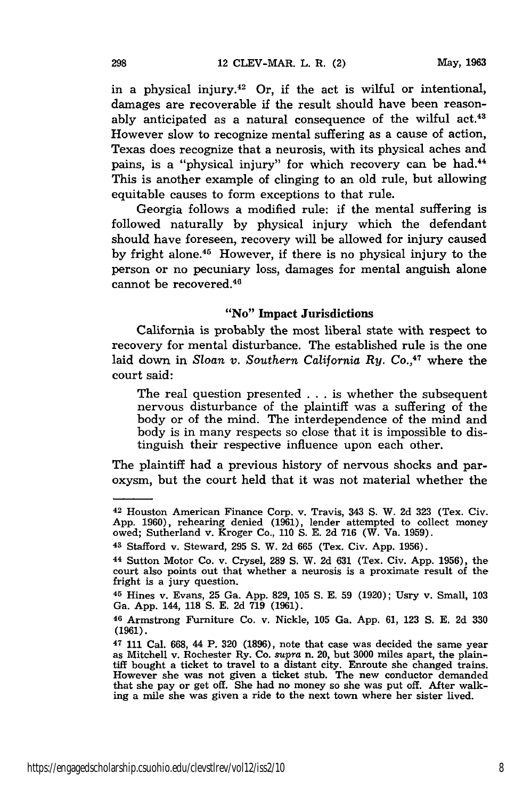in a physical injury.<sup>42</sup> Or, if the act is wilful or intentional, damages are recoverable if the result should have been reasonably anticipated as a natural consequence of the wilful act. $43$ However slow to recognize mental suffering as a cause of action, Texas does recognize that a neurosis, with its physical aches and pains, is a "physical injury" for which recovery can be had.<sup>44</sup> This is another example of clinging to an old rule, but allowing equitable causes to form exceptions to that rule.

Georgia follows a modified rule: if the mental suffering is followed naturally by physical injury which the defendant should have foreseen, recovery will be allowed for injury caused by fright alone.45 However, if there is no physical injury to the person or no pecuniary loss, damages for mental anguish alone cannot be recovered. <sup>46</sup>

#### "No" Impact Jurisdictions

California is probably the most liberal state with respect to recovery for mental disturbance. The established rule is the one laid down in *Sloan v. Southern California Ry. Co.,47* where the court said:

The real question presented . . . is whether the subsequent nervous disturbance of the plaintiff was a suffering of the body or of the mind. The interdependence of the mind and body is in many respects so close that it is impossible to distinguish their respective influence upon each other.

The plaintiff had a previous history of nervous shocks and paroxysm, but the court held that it was not material whether the

**<sup>42</sup>**Houston American Finance Corp. v. Travis, 343 S. W. **2d 323** (Tex. Civ. App. 1960), rehearing denied (1961), lender attempted to collect money owed; Sutherland v. Kroger Co., **110 S. E. 2d 716** (W. Va. 1959).

**<sup>43</sup>**Stafford v. Steward, 295 **S.** W. 2d **665** (Tex. Civ. App. 1956).

**<sup>44</sup>**Sutton Motor Co. v. Crysel, **289 S.** W. 2d 631 (Tex. Civ. App. 1956), the court also points out that whether a neurosis is a proximate result of the fright is a jury question.

**<sup>45</sup>**Hines v. Evans, 25 Ga. App. 829, **105 S.** E. 59 (1920); Usry v. Small, 103 Ga. App. 144, **118** S. **E.** 2d 719 (1961).

**<sup>46</sup>**Armstrong Furniture Co. v. Nickle, **105** Ga. App. 61, 123 S. E. 2d **330** (1961).

 $47$  111 Cal. 668, 44 P. 320 (1896), note that case was decided the same year<br>as Mitchell v. Rochester Ry. Co. *supra* n. 20, but 3000 miles apart, the plain-<br>tiff bought a ticket to travel to a distant city. Enroute she that she pay or get off. She had no money so she was put off. After walking a mile she was given a ride to the next town where her sister lived.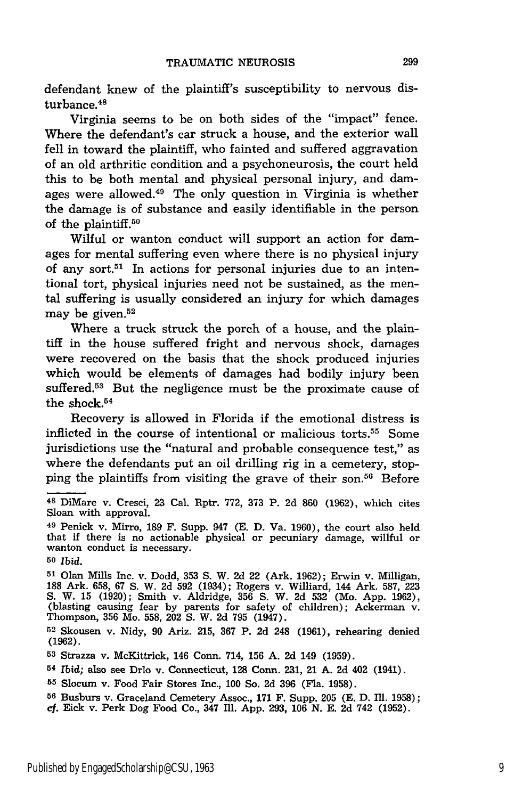defendant knew of the plaintiff's susceptibility to nervous disturbance. <sup>48</sup>

Virginia seems to be on both sides of the "impact" fence. Where the defendant's car struck a house, and the exterior wall fell in toward the plaintiff, who fainted and suffered aggravation of an old arthritic condition and a psychoneurosis, the court held this to be both mental and physical personal injury, and damages were allowed.49 The only question in Virginia is whether the damage is of substance and easily identifiable in the person of the plaintiff.<sup>50</sup>

Wilful or wanton conduct will support an action for damages for mental suffering even where there is no physical injury of any sort.<sup>51</sup> In actions for personal injuries due to an intentional tort, physical injuries need not be sustained, as the mental suffering is usually considered an injury for which damages may be given.<sup>52</sup>

Where a truck struck the porch of a house, and the plaintiff in the house suffered fright and nervous shock, damages were recovered on the basis that the shock produced injuries which would be elements of damages had bodily injury been suffered.<sup>53</sup> But the negligence must be the proximate cause of the shock.<sup>54</sup>

Recovery is allowed in Florida if the emotional distress is inflicted in the course of intentional or malicious torts.55 Some jurisdictions use the "natural and probable consequence test," as where the defendants put an oil drilling rig in a cemetery, stopping the plaintiffs from visiting the grave of their son.56 Before

**<sup>48</sup>**DiMare v. Cresci, **23** Cal. Rptr. 772, **373** P. **2d** 860 **(1962),** which cites Sloan with approval.

<sup>49</sup> Penick v. Mirro, **189** F. Supp. 947 (E. D. Va. 1960), the court also held that if there is no actionable physical or pecuniary damage, willful or wanton conduct is necessary.

**<sup>50</sup>***Ibid.*

**<sup>51</sup>**Olan Mills Inc. v. Dodd, **353 S.** W. 2d 22 (Ark. 1962); Erwin v. Milligan, **<sup>188</sup>**Ark. 658, 67 **S.** W. 2d **592** (1934); Rogers v. Williard, 144 Ark. **587,** <sup>223</sup> S. W. 15 (1920); Smith v. Aldridge, 356 S. W. 2d 532 (Mo. App. 1962), (blasting causing fear by parents for safety of children); Ackerman v. Thompson, 356 Mo. 558, 202 **S.** W. **2d 795** (1947).

**<sup>52</sup>**Skousen v. **Nidy, 90** Ariz. 215, 367 P. 2d 248 **(1961),** rehearing denied **(1962).**

**<sup>53</sup>**Strazza v. McKittrick, 146 Conn. 714, 156 A. 2d 149 (1959).

**<sup>54</sup>***Ibid;* also see Drlo v. Connecticut, 128 Conn. **231,** 21 **A.** 2d 402 (1941).

**<sup>55</sup>**Slocum v. Food Fair Stores Inc., 100 So. 2d **396** (Fla. 1958).

**<sup>56</sup>**Busburs v. Graceland Cemetery Assoc., 171 F. Supp. **205** (E. D. Ill. 1958);

cf. Eick v. Perk Dog Food Co., 347 Ill. App. 293, 106 N. E. 2d 742 (1952).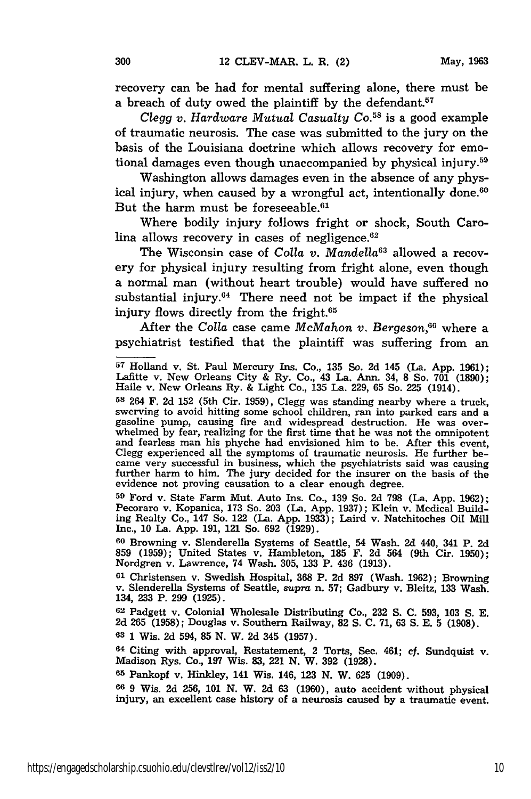recovery can be had for mental suffering alone, there must be a breach of duty owed the plaintiff by the defendant.<sup>57</sup>

*Clegg v. Hardware Mutual Casualty Co.*<sup>58</sup> is a good example of traumatic neurosis. The case was submitted to the jury on the basis of the Louisiana doctrine which allows recovery for emotional damages even though unaccompanied by physical injury.59

Washington allows damages even in the absence of any physical injury, when caused by a wrongful act, intentionally done.<sup>60</sup> But the harm must be foreseeable.<sup>61</sup>

Where bodily injury follows fright or shock, South Carolina allows recovery in cases of negligence. $62$ 

The Wisconsin case of *Colla v. Mandella*<sup>63</sup> allowed a recovery for physical injury resulting from fright alone, even though a normal man (without heart trouble) would have suffered no substantial injury. $64$  There need not be impact if the physical injury flows directly from the fright.65

After the *Colla* case came *McMahon v. Bergeson,66* where a psychiatrist testified that the plaintiff was suffering from an

**<sup>59</sup>**Ford v. State Farm Mut. Auto Ins. Co., 139 So. 2d 798 (La. App. 1962); Pecoraro v. Kopanica, 173 So. 203 (La. App. 1937); Klein v. Medical Building Realty Co., 147 So. 122 (La. App. 1933); Laird v. Natchitoches Oil Mill Inc., 10 La. App. 191, 121 So. 692 (1929).

**<sup>60</sup>**Browning v. Slenderella Systems of Seattle, 54 Wash. **2d** 440, 341 P. 2d 859 (1959); United States v. Hambleton, 185 F. 2d 564 (9th Cir. 1950); Nordgren v. Lawrence, 74 Wash. 305, 133 P. 436 (1913).

**<sup>61</sup>**Christensen v. Swedish Hospital, 368 P. 2d 897 (Wash. 1962); Browning v. Slenderella Systems of Seattle, *supra* n. 57; Gadbury v. Bleitz, 133 Wash. 134, 233 P. 299 (1925).

**62** Padgett v. Colonial Wholesale Distributing Co., **232 S. C.** 593, 103 S. **E.** 2d 265 (1958); Douglas v. Southern Railway, 82 **S. C.** 71, 63 **S.** E. 5 (1908).

**63** 1 Wis. **2d** 594, 85 N. W. **2d** 345 (1957).

64 Citing with approval, Restatement, 2 Torts, Sec. 461; cf. Sundquist v. Madison Rys. Co., 197 Wis. 83, 221 N. W. 392 (1928).

**<sup>65</sup>**Pankopf v. Hinkley, 141 Wis. 146, 123 N. W. **625** (1909).

**<sup>66</sup>**9 Wis. 2d 256, 101 N. W. 2d 63 (1960), auto accident without physical injury, an excellent case history of a neurosis caused by a traumatic event.

**<sup>57</sup>**Holland v. St. Paul Mercury Ins. Co., 135 So. 2d 145 (La. App. 1961); Lafitte v. New Orleans City & Ry. Co., 43 La. Ann. 34, 8 So. 701 (1890); Haile v. New Orleans Ry. & Light Co., 135 La. 229, 65 So. 225 (1914).

**<sup>58</sup>**264 F. 2d 152 (5th Cir. 1959), Clegg was standing nearby where a truck, swerving to avoid hitting some school children, ran into parked cars and a gasoline pump, causing fire and widespread destruction. He was over-<br>whelmed by fear, realizing for the first time that he was not the omnipotent and fearless man his phyche had envisioned him to be. After this event, Clegg experienced all the symptoms of traumatic neurosis. He further befurther harm to him. The jury decided for the insurer on the basis of the evidence not proving causation to a clear enough degree.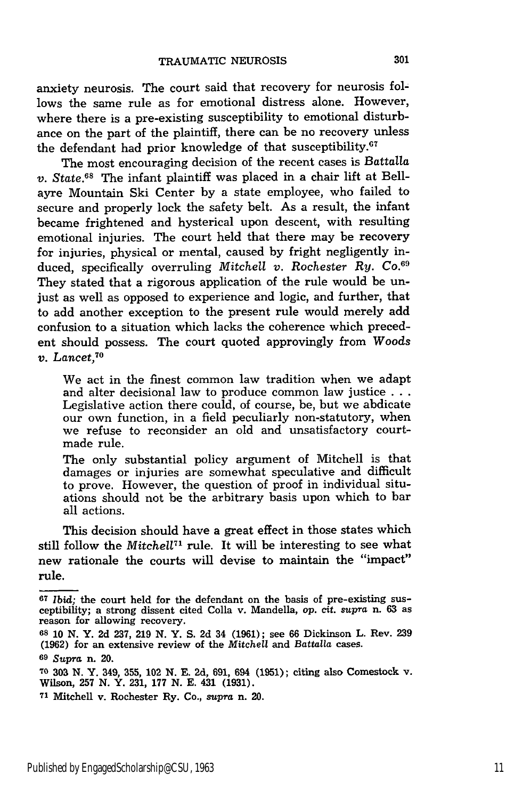anxiety neurosis. The court said that recovery for neurosis follows the same rule as for emotional distress alone. However, where there is a pre-existing susceptibility to emotional disturbance on the part of the plaintiff, there can be no recovery unless the defendant had prior knowledge of that susceptibility. $67$ 

The most encouraging decision of the recent cases is Battalla *v. State.68* The infant plaintiff was placed in a chair lift at Bellayre Mountain Ski Center **by** a state employee, who failed to secure and properly lock the safety belt. As a result, the infant became frightened and hysterical upon descent, with resulting emotional injuries. The court held that there may be recovery for injuries, physical or mental, caused **by** fright negligently induced, specifically overruling *Mitchell v. Rochester Ry. Co.*<sup>69</sup> They stated that a rigorous application of the rule would be unjust as well as opposed to experience and logic, and further, that to add another exception to the present rule would merely add confusion to a situation which lacks the coherence which precedent should possess. The court quoted approvingly from Woods *v. Lancet,70*

We act in the finest common law tradition when we adapt and alter decisional law to produce common law justice **...** Legislative action there could, of course, be, but we abdicate our own function, in a field peculiarly non-statutory, when we refuse to reconsider an old and unsatisfactory courtmade rule.

The only substantial policy argument of Mitchell is that damages or injuries are somewhat speculative and difficult to prove. However, the question of proof in individual situations should not be the arbitrary basis upon which to bar all actions.

This decision should have a great effect in those states which still follow the *Mitchell*<sup>71</sup> rule. It will be interesting to see what new rationale the courts will devise to maintain the "impact" rule.

**<sup>67</sup>** *Ibid;* the court held for the defendant on the basis of pre-existing susceptibility; a strong dissent cited Colla v. Mandella, *op.* cit. *supra* n. **63** as reason for allowing recovery.

**<sup>68 10</sup> N.** Y. **2d 237, 219 N.** Y. **S. 2d** 34 **(1961);** see **66** Dickinson L. Rev. **239 (1962)** for an extensive review of the *Mitchell* and *Battalla* cases.

**<sup>69</sup>***Supra* n. 20.

**<sup>7</sup>O 303 N.** Y. 349, **355,** 102 **N. E. 2d, 691,** 694 **(1951);** citing also Comestock v. Wilson, **257 N.** Y. **231, 177 N. E.** 431 **(1931).**

**<sup>71</sup>**Mitchell v. Rochester Ry. **Co.,** supra n. 20.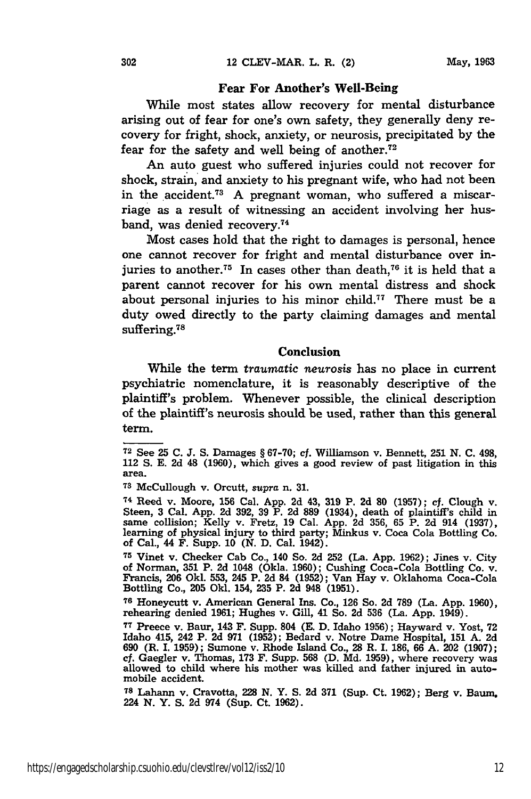#### Fear For Another's Well-Being

While most states allow recovery for mental disturbance arising out of fear for one's own safety, they generally deny recovery for fright, shock, anxiety, or neurosis, precipitated **by** the fear for the safety and well being of another.<sup>72</sup>

An auto guest who suffered injuries could not recover for shock, strain, and anxiety to his pregnant wife, who had not been in the accident.73 **A** pregnant woman, who suffered a miscarriage as a result of witnessing an accident involving her husband, was denied recovery.<sup>74</sup>

Most cases hold that the right to damages is personal, hence one cannot recover for fright and mental disturbance over injuries to another.<sup>75</sup> In cases other than death,<sup>76</sup> it is held that a parent cannot recover for his own mental distress and shock about personal injuries to his minor child.<sup>77</sup> There must be a duty owed directly to the party claiming damages and mental suffering.<sup>78</sup>

#### Conclusion

While the term *traumatic neurosis* has no place in current psychiatric nomenclature, it is reasonably descriptive of the plaintiff's problem. Whenever possible, the clinical description of the plaintiff's neurosis should be used, rather than this general term.

**<sup>74</sup>**Reed v. Moore, **156** Cal. **App. 2d** 43, **319** P. **2d 80 (1957);** cf. Clough v. Steen, **3** Cal. **App. 2d 392, 39** P. **2d 889** (1934), death of plaintiffs child in same collision; Kelly v. Fretz, **19** Cal. **App. 2d** 356, **65** P. **2d** 914 (1937), learning of physical injury to third party; Minkus v. Coca Cola Bottling Co. of Cal., 44 F. Supp. **10 (N. D.** Cal. 1942).

**<sup>75</sup>**Vinet v. Checker Cab Co., 140 So. **2d** 252 (La. **App.** 1962); Jines v. City of Norman, **351** P. **2d** 1048 (Okla. **1960);** Cushing Coca-Cola Bottling Co. v. Francis, **206 Okl.** 553, 245 P. **2d** 84 (1952); Van Hay v. Oklahoma Coca-Cola Bottling Co., 205 Old. 154, **235** P. **2d** 948 (1951).

**<sup>76</sup>**Honeycutt v. American General **Ins.** Co., **126** So. **2d 789** (La. **App. 1960),** rehearing denied **1961;** Hughes v. Gill, 41 So. **2d 536** (La. **App.** 1949).

**<sup>77</sup>**Preece v. Baur, 143 F. Supp. 804 **(E. D.** Idaho **1956);** Hayward v. Yost, **72** Idaho 415, 242 P. **2d 971** (1952); Bedard v. Notre Dame Hospital, **151** A. **2d 690** (R. I. 1959); Sumone v. Rhode Island Co., **28** R. **I. 186, 66 A. 202 (1907);** cf. Gaegler v. Thomas, **173** F. Supp. **568 (D. Md. 1959),** where recovery was allowed to child where his mother was killed and father injured in autoallowed to child where his mother was killed and father injured in auto-mobile accident.

**<sup>78</sup>**Lahann v. Cravotta, **228 N.** Y. **S. 2d 371** (Sup. Ct. 1962); Berg v. Baum, 224 **N.** Y. **S. 2d** 974 (Sup. Ct. **1962).**

**<sup>72</sup>**See **25** C. *J.* **S.** Damages § **67-70;** cf. Williamson v. Bennett, **251** N. C. 498, 112 **S. E. 2d** 48 (1960), which gives a good review of past litigation in this area.

**<sup>73</sup>**McCullough v. Orcutt, supra n. **31.**